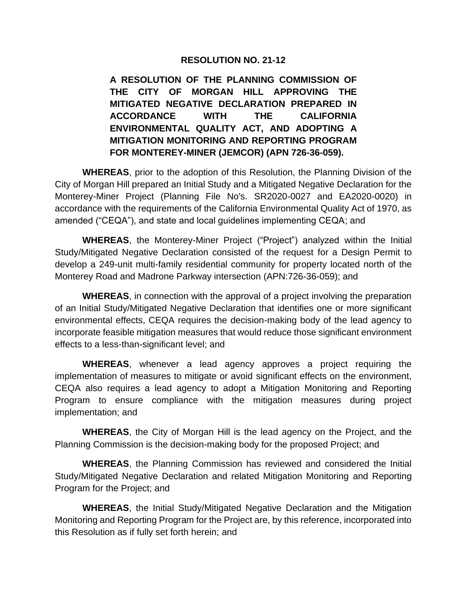#### **RESOLUTION NO. 21-12**

**A RESOLUTION OF THE PLANNING COMMISSION OF THE CITY OF MORGAN HILL APPROVING THE MITIGATED NEGATIVE DECLARATION PREPARED IN ACCORDANCE WITH THE CALIFORNIA ENVIRONMENTAL QUALITY ACT, AND ADOPTING A MITIGATION MONITORING AND REPORTING PROGRAM FOR MONTEREY-MINER (JEMCOR) (APN 726-36-059).**

**WHEREAS**, prior to the adoption of this Resolution, the Planning Division of the City of Morgan Hill prepared an Initial Study and a Mitigated Negative Declaration for the Monterey-Miner Project (Planning File No's. SR2020-0027 and EA2020-0020) in accordance with the requirements of the California Environmental Quality Act of 1970, as amended ("CEQA"), and state and local guidelines implementing CEQA; and

**WHEREAS**, the Monterey-Miner Project ("Project") analyzed within the Initial Study/Mitigated Negative Declaration consisted of the request for a Design Permit to develop a 249-unit multi-family residential community for property located north of the Monterey Road and Madrone Parkway intersection (APN:726-36-059); and

**WHEREAS**, in connection with the approval of a project involving the preparation of an Initial Study/Mitigated Negative Declaration that identifies one or more significant environmental effects, CEQA requires the decision-making body of the lead agency to incorporate feasible mitigation measures that would reduce those significant environment effects to a less-than-significant level; and

**WHEREAS**, whenever a lead agency approves a project requiring the implementation of measures to mitigate or avoid significant effects on the environment, CEQA also requires a lead agency to adopt a Mitigation Monitoring and Reporting Program to ensure compliance with the mitigation measures during project implementation; and

**WHEREAS**, the City of Morgan Hill is the lead agency on the Project, and the Planning Commission is the decision-making body for the proposed Project; and

**WHEREAS**, the Planning Commission has reviewed and considered the Initial Study/Mitigated Negative Declaration and related Mitigation Monitoring and Reporting Program for the Project; and

**WHEREAS**, the Initial Study/Mitigated Negative Declaration and the Mitigation Monitoring and Reporting Program for the Project are, by this reference, incorporated into this Resolution as if fully set forth herein; and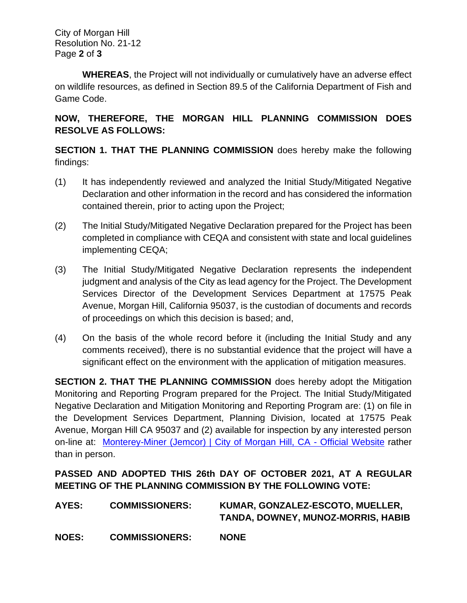City of Morgan Hill Resolution No. 21-12 Page **2** of **3**

**WHEREAS**, the Project will not individually or cumulatively have an adverse effect on wildlife resources, as defined in Section 89.5 of the California Department of Fish and Game Code.

#### **NOW, THEREFORE, THE MORGAN HILL PLANNING COMMISSION DOES RESOLVE AS FOLLOWS:**

**SECTION 1. THAT THE PLANNING COMMISSION** does hereby make the following findings:

- (1) It has independently reviewed and analyzed the Initial Study/Mitigated Negative Declaration and other information in the record and has considered the information contained therein, prior to acting upon the Project;
- (2) The Initial Study/Mitigated Negative Declaration prepared for the Project has been completed in compliance with CEQA and consistent with state and local guidelines implementing CEQA;
- (3) The Initial Study/Mitigated Negative Declaration represents the independent judgment and analysis of the City as lead agency for the Project. The Development Services Director of the Development Services Department at 17575 Peak Avenue, Morgan Hill, California 95037, is the custodian of documents and records of proceedings on which this decision is based; and,
- (4) On the basis of the whole record before it (including the Initial Study and any comments received), there is no substantial evidence that the project will have a significant effect on the environment with the application of mitigation measures.

**SECTION 2. THAT THE PLANNING COMMISSION** does hereby adopt the Mitigation Monitoring and Reporting Program prepared for the Project. The Initial Study/Mitigated Negative Declaration and Mitigation Monitoring and Reporting Program are: (1) on file in the Development Services Department, Planning Division, located at 17575 Peak Avenue, Morgan Hill CA 95037 and (2) available for inspection by any interested person on-line at: [Monterey-Miner \(Jemcor\) | City of Morgan Hill, CA -](http://www.morgan-hill.ca.gov/2189/Monterey-Miner-Jemcor) Official Website rather than in person.

### **PASSED AND ADOPTED THIS 26th DAY OF OCTOBER 2021, AT A REGULAR MEETING OF THE PLANNING COMMISSION BY THE FOLLOWING VOTE:**

| AYES:        | <b>COMMISSIONERS:</b> | KUMAR, GONZALEZ-ESCOTO, MUELLER,<br>TANDA, DOWNEY, MUNOZ-MORRIS, HABIB |
|--------------|-----------------------|------------------------------------------------------------------------|
| <b>NOES:</b> | <b>COMMISSIONERS:</b> | <b>NONE</b>                                                            |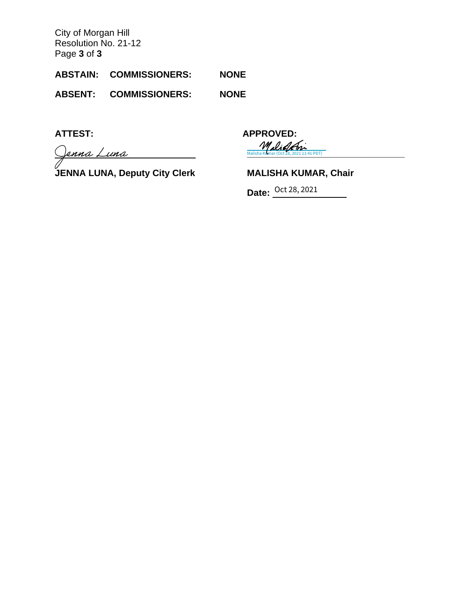City of Morgan Hill Resolution No. 21-12 Page **3** of **3**

**ABSTAIN: COMMISSIONERS: NONE**

**ABSENT: COMMISSIONERS: NONE**

Jenna Luna

**JENNA LUNA, Deputy City Clerk MALISHA KUMAR, Chair**

**ATTEST: APPROVED: [\\_\\_\\_\\_\\_\\_\\_\\_\\_\\_\\_\\_\\_\\_\\_\\_\\_\\_\\_\\_\\_\\_\\_\\_\\_\\_\\_\\_\\_\\_\\_](https://na3.documents.adobe.com/verifier?tx=CBJCHBCAABAAqXpz69qqLHxGQkkptSd7dKE8nYe_qKlO)** Malisha Kumar (Oct 28, 2021 11:41 PDT)

**Date:** Oct 28, 2021